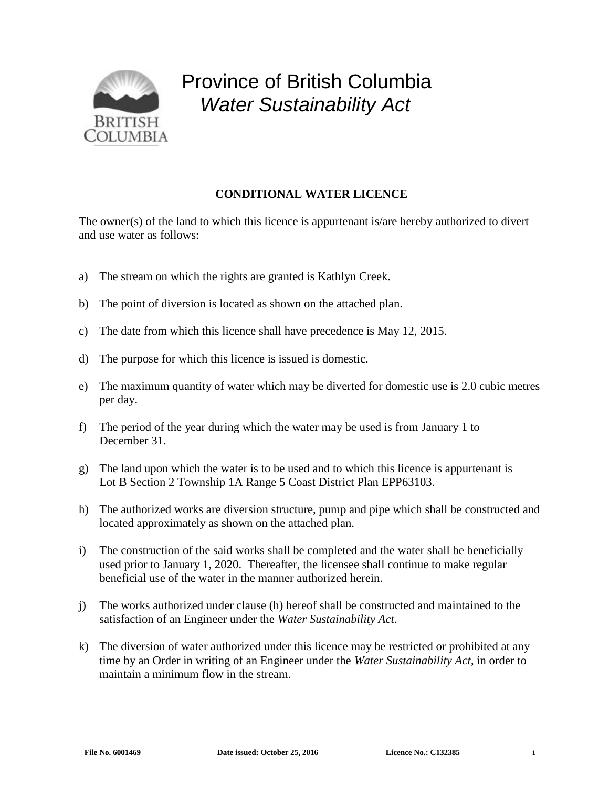

## Province of British Columbia *Water Sustainability Act*

## **CONDITIONAL WATER LICENCE**

The owner(s) of the land to which this licence is appurtenant is/are hereby authorized to divert and use water as follows:

- a) The stream on which the rights are granted is Kathlyn Creek.
- b) The point of diversion is located as shown on the attached plan.
- c) The date from which this licence shall have precedence is May 12, 2015.
- d) The purpose for which this licence is issued is domestic.
- e) The maximum quantity of water which may be diverted for domestic use is 2.0 cubic metres per day.
- f) The period of the year during which the water may be used is from January 1 to December 31.
- g) The land upon which the water is to be used and to which this licence is appurtenant is Lot B Section 2 Township 1A Range 5 Coast District Plan EPP63103.
- h) The authorized works are diversion structure, pump and pipe which shall be constructed and located approximately as shown on the attached plan.
- i) The construction of the said works shall be completed and the water shall be beneficially used prior to January 1, 2020. Thereafter, the licensee shall continue to make regular beneficial use of the water in the manner authorized herein.
- j) The works authorized under clause (h) hereof shall be constructed and maintained to the satisfaction of an Engineer under the *Water Sustainability Act*.
- k) The diversion of water authorized under this licence may be restricted or prohibited at any time by an Order in writing of an Engineer under the *Water Sustainability Act*, in order to maintain a minimum flow in the stream.